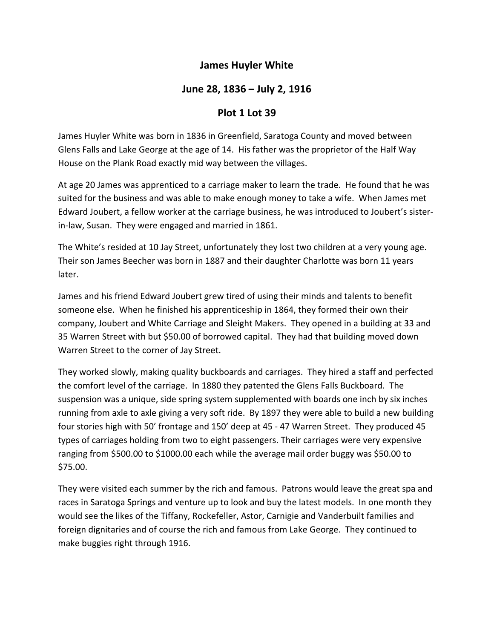## **James Huyler White**

## **June 28, 1836 – July 2, 1916**

## **Plot 1 Lot 39**

James Huyler White was born in 1836 in Greenfield, Saratoga County and moved between Glens Falls and Lake George at the age of 14. His father was the proprietor of the Half Way House on the Plank Road exactly mid way between the villages.

At age 20 James was apprenticed to a carriage maker to learn the trade. He found that he was suited for the business and was able to make enough money to take a wife. When James met Edward Joubert, a fellow worker at the carriage business, he was introduced to Joubert's sister‐ in‐law, Susan. They were engaged and married in 1861.

The White's resided at 10 Jay Street, unfortunately they lost two children at a very young age. Their son James Beecher was born in 1887 and their daughter Charlotte was born 11 years later.

James and his friend Edward Joubert grew tired of using their minds and talents to benefit someone else. When he finished his apprenticeship in 1864, they formed their own their company, Joubert and White Carriage and Sleight Makers. They opened in a building at 33 and 35 Warren Street with but \$50.00 of borrowed capital. They had that building moved down Warren Street to the corner of Jay Street.

They worked slowly, making quality buckboards and carriages. They hired a staff and perfected the comfort level of the carriage. In 1880 they patented the Glens Falls Buckboard. The suspension was a unique, side spring system supplemented with boards one inch by six inches running from axle to axle giving a very soft ride. By 1897 they were able to build a new building four stories high with 50' frontage and 150' deep at 45 ‐ 47 Warren Street. They produced 45 types of carriages holding from two to eight passengers. Their carriages were very expensive ranging from \$500.00 to \$1000.00 each while the average mail order buggy was \$50.00 to \$75.00.

They were visited each summer by the rich and famous. Patrons would leave the great spa and races in Saratoga Springs and venture up to look and buy the latest models. In one month they would see the likes of the Tiffany, Rockefeller, Astor, Carnigie and Vanderbuilt families and foreign dignitaries and of course the rich and famous from Lake George. They continued to make buggies right through 1916.